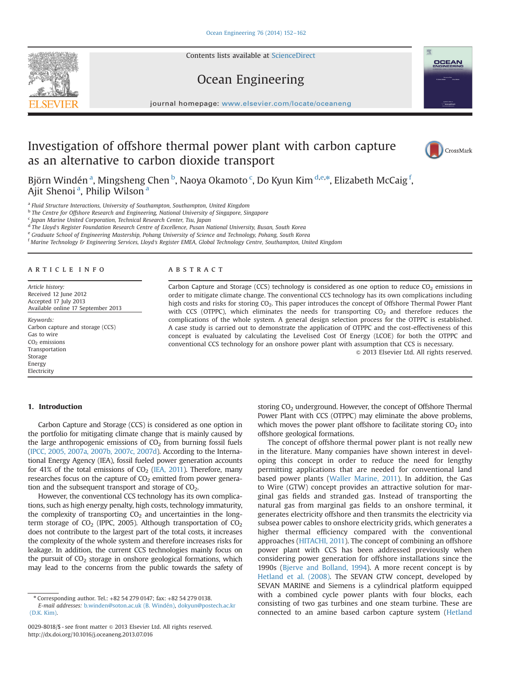Contents lists available at [ScienceDirect](www.sciencedirect.com/science/journal/00298018)



# Ocean Engineering

journal homepage: <www.elsevier.com/locate/oceaneng>

### Investigation of offshore thermal power plant with carbon capture as an alternative to carbon dioxide transport



Björn Windén <sup>a</sup>, Mingsheng Chen <sup>b</sup>, Naoya Okamoto <sup>c</sup>, Do Kyun Kim <sup>d,e,\*</sup>, Elizabeth McCaig <sup>f</sup>, Ajit Shenoi<sup>a</sup>, Philip Wilson<sup>a</sup>

<sup>a</sup> Fluid Structure Interactions, University of Southampton, Southampton, United Kingdom

**b** The Centre for Offshore Research and Engineering, National University of Singapore, Singapore

<sup>c</sup> Japan Marine United Corporation, Technical Research Center, Tsu, Japan

<sup>d</sup> The Lloyd's Register Foundation Research Centre of Excellence, Pusan National University, Busan, South Korea

<sup>e</sup> Graduate School of Engineering Mastership, Pohang University of Science and Technology, Pohang, South Korea

<sup>f</sup> Marine Technology & Engineering Services, Lloyd's Register EMEA, Global Technology Centre, Southampton, United Kingdom

#### article info

Article history: Received 12 June 2012 Accepted 17 July 2013 Available online 17 September 2013

Keywords: Carbon capture and storage (CCS) Gas to wire  $CO<sub>2</sub>$  emissions Transportation Storage Energy Electricity

### 1. Introduction

Carbon Capture and Storage (CCS) is considered as one option in the portfolio for mitigating climate change that is mainly caused by the large anthropogenic emissions of  $CO<sub>2</sub>$  from burning fossil fuels (IPCC, 2005, 2007a, 2007b, 2007c, 2007d). According to the International Energy Agency (IEA), fossil fueled power generation accounts for 41% of the total emissions of  $CO<sub>2</sub>$  (IEA, 2011). Therefore, many researches focus on the capture of  $CO<sub>2</sub>$  emitted from power generation and the subsequent transport and storage of  $CO<sub>2</sub>$ .

However, the conventional CCS technology has its own complications, such as high energy penalty, high costs, technology immaturity, the complexity of transporting  $CO<sub>2</sub>$  and uncertainties in the longterm storage of  $CO<sub>2</sub>$  (IPPC, 2005). Although transportation of  $CO<sub>2</sub>$ does not contribute to the largest part of the total costs, it increases the complexity of the whole system and therefore increases risks for leakage. In addition, the current CCS technologies mainly focus on the pursuit of  $CO<sub>2</sub>$  storage in onshore geological formations, which may lead to the concerns from the public towards the safety of

#### **ABSTRACT**

Carbon Capture and Storage (CCS) technology is considered as one option to reduce  $CO<sub>2</sub>$  emissions in order to mitigate climate change. The conventional CCS technology has its own complications including high costs and risks for storing CO<sub>2</sub>. This paper introduces the concept of Offshore Thermal Power Plant with CCS (OTPPC), which eliminates the needs for transporting  $CO<sub>2</sub>$  and therefore reduces the complications of the whole system. A general design selection process for the OTPPC is established. A case study is carried out to demonstrate the application of OTPPC and the cost-effectiveness of this concept is evaluated by calculating the Levelised Cost Of Energy (LCOE) for both the OTPPC and conventional CCS technology for an onshore power plant with assumption that CCS is necessary.

 $© 2013 Elsevier Ltd. All rights reserved.$ 

storing CO<sub>2</sub> underground. However, the concept of Offshore Thermal Power Plant with CCS (OTPPC) may eliminate the above problems, which moves the power plant offshore to facilitate storing  $CO<sub>2</sub>$  into offshore geological formations.

The concept of offshore thermal power plant is not really new in the literature. Many companies have shown interest in developing this concept in order to reduce the need for lengthy permitting applications that are needed for conventional land based power plants (Waller Marine, 2011). In addition, the Gas to Wire (GTW) concept provides an attractive solution for marginal gas fields and stranded gas. Instead of transporting the natural gas from marginal gas fields to an onshore terminal, it generates electricity offshore and then transmits the electricity via subsea power cables to onshore electricity grids, which generates a higher thermal efficiency compared with the conventional approaches (HITACHI, 2011). The concept of combining an offshore power plant with CCS has been addressed previously when considering power generation for offshore installations since the 1990s (Bjerve and Bolland, 1994). A more recent concept is by Hetland et al. (2008). The SEVAN GTW concept, developed by SEVAN MARINE and Siemens is a cylindrical platform equipped with a combined cycle power plants with four blocks, each consisting of two gas turbines and one steam turbine. These are connected to an amine based carbon capture system (Hetland

<sup>n</sup> Corresponding author. Tel.: +82 54 279 0147; fax: +82 54 279 0138. E-mail addresses: [b.winden@soton.ac.uk \(B. Windén\),](mailto:b.winden@soton.ac.uk) [dokyun@postech.ac.kr](mailto:dokyun@postech.ac.kr) [\(D.K. Kim\)](mailto:dokyun@postech.ac.kr).

<sup>0029-8018/\$ -</sup> see front matter @ 2013 Elsevier Ltd. All rights reserved. <http://dx.doi.org/10.1016/j.oceaneng.2013.07.016>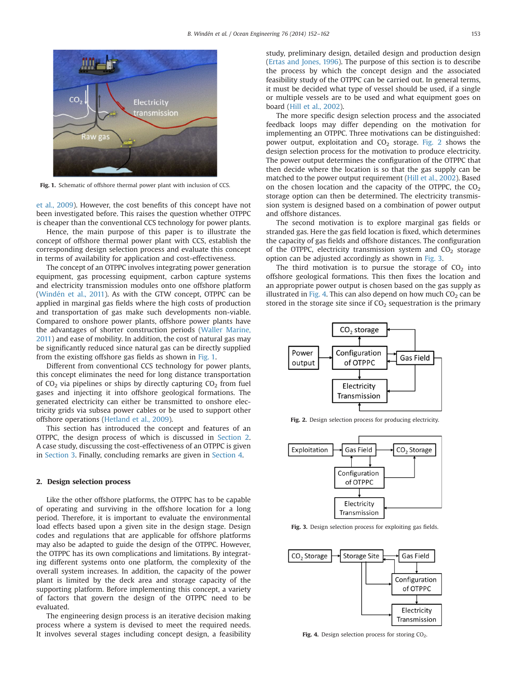

Fig. 1. Schematic of offshore thermal power plant with inclusion of CCS.

et al., 2009). However, the cost benefits of this concept have not been investigated before. This raises the question whether OTPPC is cheaper than the conventional CCS technology for power plants.

Hence, the main purpose of this paper is to illustrate the concept of offshore thermal power plant with CCS, establish the corresponding design selection process and evaluate this concept in terms of availability for application and cost-effectiveness.

The concept of an OTPPC involves integrating power generation equipment, gas processing equipment, carbon capture systems and electricity transmission modules onto one offshore platform (Windén et al., 2011). As with the GTW concept, OTPPC can be applied in marginal gas fields where the high costs of production and transportation of gas make such developments non-viable. Compared to onshore power plants, offshore power plants have the advantages of shorter construction periods (Waller Marine, 2011) and ease of mobility. In addition, the cost of natural gas may be significantly reduced since natural gas can be directly supplied from the existing offshore gas fields as shown in Fig. 1.

Different from conventional CCS technology for power plants, this concept eliminates the need for long distance transportation of  $CO<sub>2</sub>$  via pipelines or ships by directly capturing  $CO<sub>2</sub>$  from fuel gases and injecting it into offshore geological formations. The generated electricity can either be transmitted to onshore electricity grids via subsea power cables or be used to support other offshore operations (Hetland et al., 2009).

This section has introduced the concept and features of an OTPPC, the design process of which is discussed in Section 2. A case study, discussing the cost-effectiveness of an OTPPC is given in Section 3. Finally, concluding remarks are given in Section 4.

#### 2. Design selection process

Like the other offshore platforms, the OTPPC has to be capable of operating and surviving in the offshore location for a long period. Therefore, it is important to evaluate the environmental load effects based upon a given site in the design stage. Design codes and regulations that are applicable for offshore platforms may also be adapted to guide the design of the OTPPC. However, the OTPPC has its own complications and limitations. By integrating different systems onto one platform, the complexity of the overall system increases. In addition, the capacity of the power plant is limited by the deck area and storage capacity of the supporting platform. Before implementing this concept, a variety of factors that govern the design of the OTPPC need to be evaluated.

The engineering design process is an iterative decision making process where a system is devised to meet the required needs. It involves several stages including concept design, a feasibility study, preliminary design, detailed design and production design (Ertas and Jones, 1996). The purpose of this section is to describe the process by which the concept design and the associated feasibility study of the OTPPC can be carried out. In general terms, it must be decided what type of vessel should be used, if a single or multiple vessels are to be used and what equipment goes on board (Hill et al., 2002).

The more specific design selection process and the associated feedback loops may differ depending on the motivation for implementing an OTPPC. Three motivations can be distinguished: power output, exploitation and  $CO<sub>2</sub>$  storage. Fig. 2 shows the design selection process for the motivation to produce electricity. The power output determines the configuration of the OTPPC that then decide where the location is so that the gas supply can be matched to the power output requirement (Hill et al., 2002). Based on the chosen location and the capacity of the OTPPC, the  $CO<sub>2</sub>$ storage option can then be determined. The electricity transmission system is designed based on a combination of power output and offshore distances.

The second motivation is to explore marginal gas fields or stranded gas. Here the gas field location is fixed, which determines the capacity of gas fields and offshore distances. The configuration of the OTPPC, electricity transmission system and  $CO<sub>2</sub>$  storage option can be adjusted accordingly as shown in Fig. 3.

The third motivation is to pursue the storage of  $CO<sub>2</sub>$  into offshore geological formations. This then fixes the location and an appropriate power output is chosen based on the gas supply as illustrated in Fig. 4. This can also depend on how much  $CO<sub>2</sub>$  can be stored in the storage site since if  $CO<sub>2</sub>$  sequestration is the primary



Fig. 2. Design selection process for producing electricity.



Fig. 3. Design selection process for exploiting gas fields.



Fig. 4. Design selection process for storing  $CO<sub>2</sub>$ .